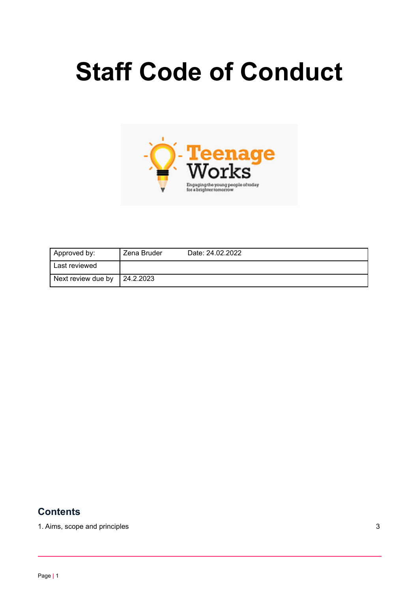# **Staff Code of Conduct**



| Approved by:       | Zena Bruder | Date: 24.02.2022 |
|--------------------|-------------|------------------|
| Last reviewed      |             |                  |
| Next review due by | 124.2.2023  |                  |

#### **Contents**

1. Aims, scope and [principles](#page-1-0) 3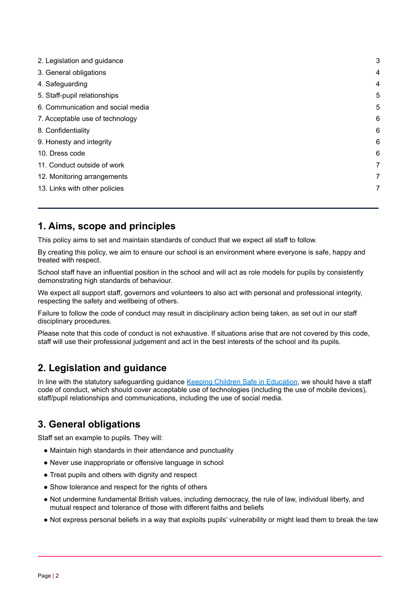| 2. Legislation and guidance       | 3 |
|-----------------------------------|---|
| 3. General obligations            | 4 |
| 4. Safeguarding                   | 4 |
| 5. Staff-pupil relationships      | 5 |
| 6. Communication and social media | 5 |
| 7. Acceptable use of technology   | 6 |
| 8. Confidentiality                | 6 |
| 9. Honesty and integrity          | 6 |
| 10. Dress code                    | 6 |
| 11. Conduct outside of work       | 7 |
| 12. Monitoring arrangements       | 7 |
| 13. Links with other policies     | 7 |
|                                   |   |

### <span id="page-1-0"></span>**1. Aims, scope and principles**

This policy aims to set and maintain standards of conduct that we expect all staff to follow.

By creating this policy, we aim to ensure our school is an environment where everyone is safe, happy and treated with respect.

School staff have an influential position in the school and will act as role models for pupils by consistently demonstrating high standards of behaviour.

We expect all support staff, governors and volunteers to also act with personal and professional integrity, respecting the safety and wellbeing of others.

Failure to follow the code of conduct may result in disciplinary action being taken, as set out in our staff disciplinary procedures.

Please note that this code of conduct is not exhaustive. If situations arise that are not covered by this code, staff will use their professional judgement and act in the best interests of the school and its pupils.

# <span id="page-1-1"></span>**2. Legislation and guidance**

In line with the statutory safeguarding guidance Keeping Children Safe in [Education](https://www.gov.uk/government/publications/keeping-children-safe-in-education--2), we should have a staff code of conduct, which should cover acceptable use of technologies (including the use of mobile devices), staff/pupil relationships and communications, including the use of social media.

#### <span id="page-1-2"></span>**3. General obligations**

Staff set an example to pupils. They will:

- Maintain high standards in their attendance and punctuality
- Never use inappropriate or offensive language in school
- Treat pupils and others with dignity and respect
- Show tolerance and respect for the rights of others
- Not undermine fundamental British values, including democracy, the rule of law, individual liberty, and mutual respect and tolerance of those with different faiths and beliefs
- Not express personal beliefs in a way that exploits pupils' vulnerability or might lead them to break the law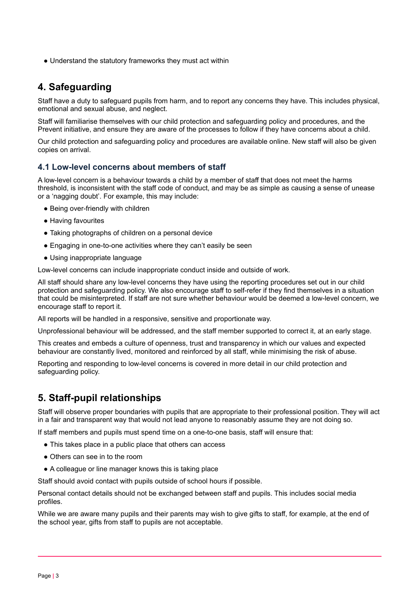• Understand the statutory frameworks they must act within

# **4. Safeguarding**

Staff have a duty to safeguard pupils from harm, and to report any concerns they have. This includes physical, emotional and sexual abuse, and neglect.

Staff will familiarise themselves with our child protection and safeguarding policy and procedures, and the Prevent initiative, and ensure they are aware of the processes to follow if they have concerns about a child.

Our child protection and safeguarding policy and procedures are available online. New staff will also be given copies on arrival.

#### **4.1 Low-level concerns about members of staff**

A low-level concern is a behaviour towards a child by a member of staff that does not meet the harms threshold, is inconsistent with the staff code of conduct, and may be as simple as causing a sense of unease or a 'nagging doubt'. For example, this may include:

- Being over-friendly with children
- Having favourites
- Taking photographs of children on a personal device
- Engaging in one-to-one activities where they can't easily be seen
- Using inappropriate language

Low-level concerns can include inappropriate conduct inside and outside of work.

All staff should share any low-level concerns they have using the reporting procedures set out in our child protection and safeguarding policy. We also encourage staff to self-refer if they find themselves in a situation that could be misinterpreted. If staff are not sure whether behaviour would be deemed a low-level concern, we encourage staff to report it.

All reports will be handled in a responsive, sensitive and proportionate way.

Unprofessional behaviour will be addressed, and the staff member supported to correct it, at an early stage.

This creates and embeds a culture of openness, trust and transparency in which our values and expected behaviour are constantly lived, monitored and reinforced by all staff, while minimising the risk of abuse.

Reporting and responding to low-level concerns is covered in more detail in our child protection and safeguarding policy.

# <span id="page-2-0"></span>**5. Staff-pupil relationships**

Staff will observe proper boundaries with pupils that are appropriate to their professional position. They will act in a fair and transparent way that would not lead anyone to reasonably assume they are not doing so.

If staff members and pupils must spend time on a one-to-one basis, staff will ensure that:

- This takes place in a public place that others can access
- Others can see in to the room
- A colleague or line manager knows this is taking place

Staff should avoid contact with pupils outside of school hours if possible.

Personal contact details should not be exchanged between staff and pupils. This includes social media profiles.

While we are aware many pupils and their parents may wish to give gifts to staff, for example, at the end of the school year, gifts from staff to pupils are not acceptable.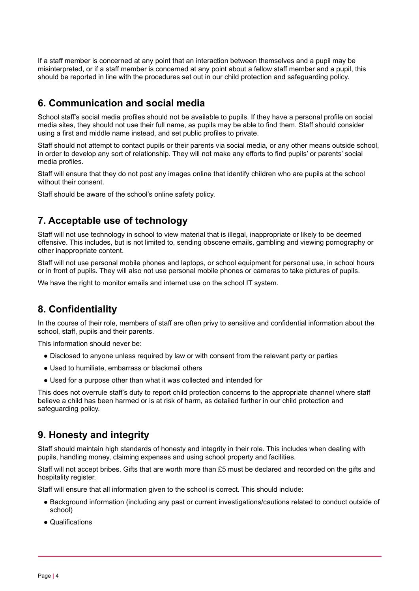If a staff member is concerned at any point that an interaction between themselves and a pupil may be misinterpreted, or if a staff member is concerned at any point about a fellow staff member and a pupil, this should be reported in line with the procedures set out in our child protection and safeguarding policy.

#### <span id="page-3-0"></span>**6. Communication and social media**

School staff's social media profiles should not be available to pupils. If they have a personal profile on social media sites, they should not use their full name, as pupils may be able to find them. Staff should consider using a first and middle name instead, and set public profiles to private.

Staff should not attempt to contact pupils or their parents via social media, or any other means outside school, in order to develop any sort of relationship. They will not make any efforts to find pupils' or parents' social media profiles.

Staff will ensure that they do not post any images online that identify children who are pupils at the school without their consent.

<span id="page-3-1"></span>Staff should be aware of the school's online safety policy.

### **7. Acceptable use of technology**

Staff will not use technology in school to view material that is illegal, inappropriate or likely to be deemed offensive. This includes, but is not limited to, sending obscene emails, gambling and viewing pornography or other inappropriate content.

Staff will not use personal mobile phones and laptops, or school equipment for personal use, in school hours or in front of pupils. They will also not use personal mobile phones or cameras to take pictures of pupils.

<span id="page-3-2"></span>We have the right to monitor emails and internet use on the school IT system.

#### **8. Confidentiality**

In the course of their role, members of staff are often privy to sensitive and confidential information about the school, staff, pupils and their parents.

This information should never be:

- Disclosed to anyone unless required by law or with consent from the relevant party or parties
- Used to humiliate, embarrass or blackmail others
- Used for a purpose other than what it was collected and intended for

This does not overrule staff's duty to report child protection concerns to the appropriate channel where staff believe a child has been harmed or is at risk of harm, as detailed further in our child protection and safeguarding policy.

#### <span id="page-3-3"></span>**9. Honesty and integrity**

Staff should maintain high standards of honesty and integrity in their role. This includes when dealing with pupils, handling money, claiming expenses and using school property and facilities.

Staff will not accept bribes. Gifts that are worth more than £5 must be declared and recorded on the gifts and hospitality register.

Staff will ensure that all information given to the school is correct. This should include:

- Background information (including any past or current investigations/cautions related to conduct outside of school)
- Qualifications